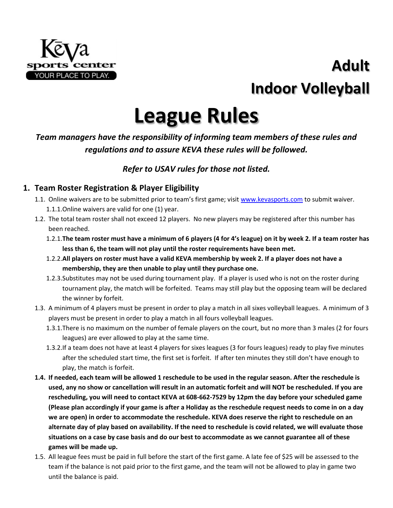

# **Adult Indoor Volleyball**

# **League Rules**

# *Team managers have the responsibility of informing team members of these rules and regulations and to assure KEVA these rules will be followed.*

# *Refer to USAV rules for those not listed.*

# **1. Team Roster Registration & Player Eligibility**

- 1.1. Online waivers are to be submitted prior to team's first game; visit [www.kevasports.com](http://www.kevasports.com/) to submit waiver. 1.1.1.Online waivers are valid for one (1) year.
- 1.2. The total team roster shall not exceed 12 players. No new players may be registered after this number has been reached.
	- 1.2.1.**The team roster must have a minimum of 6 players (4 for 4's league) on it by week 2. If a team roster has less than 6, the team will not play until the roster requirements have been met.**
	- 1.2.2.**All players on roster must have a valid KEVA membership by week 2. If a player does not have a membership, they are then unable to play until they purchase one.**
	- 1.2.3.Substitutes may not be used during tournament play. If a player is used who is not on the roster during tournament play, the match will be forfeited. Teams may still play but the opposing team will be declared the winner by forfeit.
- 1.3. A minimum of 4 players must be present in order to play a match in all sixes volleyball leagues. A minimum of 3 players must be present in order to play a match in all fours volleyball leagues.
	- 1.3.1.There is no maximum on the number of female players on the court, but no more than 3 males (2 for fours leagues) are ever allowed to play at the same time.
	- 1.3.2.If a team does not have at least 4 players for sixes leagues (3 for fours leagues) ready to play five minutes after the scheduled start time, the first set is forfeit. If after ten minutes they still don't have enough to play, the match is forfeit.
- **1.4. If needed, each team will be allowed 1 reschedule to be used in the regular season. After the reschedule is used, any no show or cancellation will result in an automatic forfeit and will NOT be rescheduled. If you are rescheduling, you will need to contact KEVA at 608-662-7529 by 12pm the day before your scheduled game (Please plan accordingly if your game is after a Holiday as the reschedule request needs to come in on a day we are open) in order to accommodate the reschedule. KEVA does reserve the right to reschedule on an alternate day of play based on availability. If the need to reschedule is covid related, we will evaluate those situations on a case by case basis and do our best to accommodate as we cannot guarantee all of these games will be made up.**
- 1.5. All league fees must be paid in full before the start of the first game. A late fee of \$25 will be assessed to the team if the balance is not paid prior to the first game, and the team will not be allowed to play in game two until the balance is paid.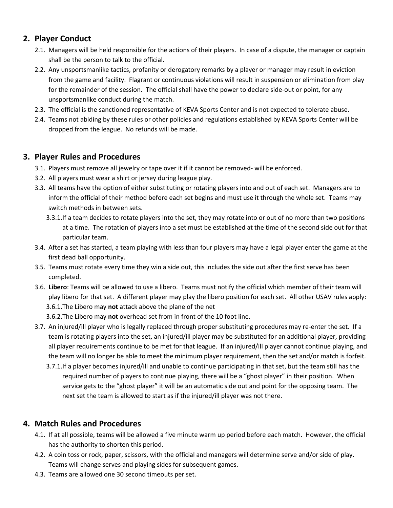## **2. Player Conduct**

- 2.1. Managers will be held responsible for the actions of their players. In case of a dispute, the manager or captain shall be the person to talk to the official.
- 2.2. Any unsportsmanlike tactics, profanity or derogatory remarks by a player or manager may result in eviction from the game and facility. Flagrant or continuous violations will result in suspension or elimination from play for the remainder of the session. The official shall have the power to declare side-out or point, for any unsportsmanlike conduct during the match.
- 2.3. The official is the sanctioned representative of KEVA Sports Center and is not expected to tolerate abuse.
- 2.4. Teams not abiding by these rules or other policies and regulations established by KEVA Sports Center will be dropped from the league. No refunds will be made.

# **3. Player Rules and Procedures**

- 3.1. Players must remove all jewelry or tape over it if it cannot be removed- will be enforced.
- 3.2. All players must wear a shirt or jersey during league play.
- 3.3. All teams have the option of either substituting or rotating players into and out of each set. Managers are to inform the official of their method before each set begins and must use it through the whole set. Teams may switch methods in between sets.
	- 3.3.1.If a team decides to rotate players into the set, they may rotate into or out of no more than two positions at a time. The rotation of players into a set must be established at the time of the second side out for that particular team.
- 3.4. After a set has started, a team playing with less than four players may have a legal player enter the game at the first dead ball opportunity.
- 3.5. Teams must rotate every time they win a side out, this includes the side out after the first serve has been completed.
- 3.6. **Libero**: Teams will be allowed to use a libero. Teams must notify the official which member of their team will play libero for that set. A different player may play the libero position for each set. All other USAV rules apply: 3.6.1.The Libero may **not** attack above the plane of the net
	- 3.6.2.The Libero may **not** overhead set from in front of the 10 foot line.
- 3.7. An injured/ill player who is legally replaced through proper substituting procedures may re-enter the set. If a team is rotating players into the set, an injured/ill player may be substituted for an additional player, providing all player requirements continue to be met for that league. If an injured/ill player cannot continue playing, and the team will no longer be able to meet the minimum player requirement, then the set and/or match is forfeit.
	- 3.7.1.If a player becomes injured/ill and unable to continue participating in that set, but the team still has the required number of players to continue playing, there will be a "ghost player" in their position. When service gets to the "ghost player" it will be an automatic side out and point for the opposing team. The next set the team is allowed to start as if the injured/ill player was not there.

# **4. Match Rules and Procedures**

- 4.1. If at all possible, teams will be allowed a five minute warm up period before each match. However, the official has the authority to shorten this period.
- 4.2. A coin toss or rock, paper, scissors, with the official and managers will determine serve and/or side of play. Teams will change serves and playing sides for subsequent games.
- 4.3. Teams are allowed one 30 second timeouts per set.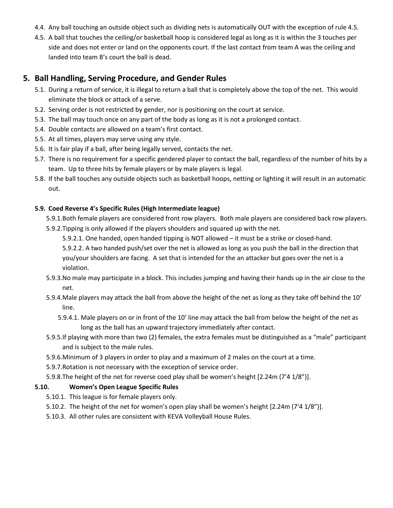- 4.4. Any ball touching an outside object such as dividing nets is automatically OUT with the exception of rule 4.5.
- 4.5. A ball that touches the ceiling/or basketball hoop is considered legal as long as it is within the 3 touches per side and does not enter or land on the opponents court. If the last contact from team A was the ceiling and landed into team B's court the ball is dead.

#### **5. Ball Handling, Serving Procedure, and Gender Rules**

- 5.1. During a return of service, it is illegal to return a ball that is completely above the top of the net. This would eliminate the block or attack of a serve.
- 5.2. Serving order is not restricted by gender, nor is positioning on the court at service.
- 5.3. The ball may touch once on any part of the body as long as it is not a prolonged contact.
- 5.4. Double contacts are allowed on a team's first contact.
- 5.5. At all times, players may serve using any style.
- 5.6. It is fair play if a ball, after being legally served, contacts the net.
- 5.7. There is no requirement for a specific gendered player to contact the ball, regardless of the number of hits by a team. Up to three hits by female players or by male players is legal.
- 5.8. If the ball touches any outside objects such as basketball hoops, netting or lighting it will result in an automatic out.

#### **5.9. Coed Reverse 4's Specific Rules (High Intermediate league)**

- 5.9.1.Both female players are considered front row players. Both male players are considered back row players. 5.9.2.Tipping is only allowed if the players shoulders and squared up with the net.
	- 5.9.2.1. One handed, open handed tipping is NOT allowed it must be a strike or closed-hand.

5.9.2.2. A two handed push/set over the net is allowed as long as you push the ball in the direction that you/your shoulders are facing. A set that is intended for the an attacker but goes over the net is a violation.

- 5.9.3.No male may participate in a block. This includes jumping and having their hands up in the air close to the net.
- 5.9.4.Male players may attack the ball from above the height of the net as long as they take off behind the 10' line.
	- 5.9.4.1. Male players on or in front of the 10' line may attack the ball from below the height of the net as long as the ball has an upward trajectory immediately after contact.
- 5.9.5.If playing with more than two (2) females, the extra females must be distinguished as a "male" participant and is subject to the male rules.
- 5.9.6.Minimum of 3 players in order to play and a maximum of 2 males on the court at a time.
- 5.9.7.Rotation is not necessary with the exception of service order.
- 5.9.8.The height of the net for reverse coed play shall be women's height [2.24m (7'4 1/8")].

#### **5.10. Women's Open League Specific Rules**

- 5.10.1. This league is for female players only.
- 5.10.2. The height of the net for women's open play shall be women's height [2.24m (7'4 1/8")].
- 5.10.3. All other rules are consistent with KEVA Volleyball House Rules.